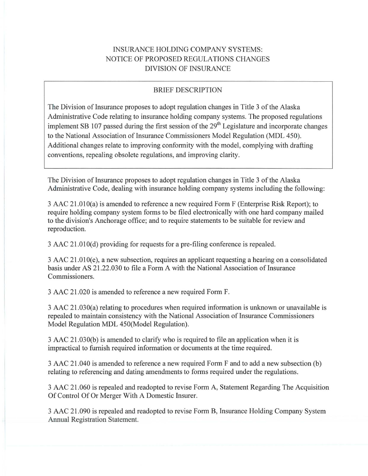# INSURANCE HOLDING COMPANY SYSTEMS: NOTICE OF PROPOSED REGULATIONS CHANGES DIVISION OF INSURANCE

#### BRIEF DESCRIPTION

The Division of Insurance proposes to adopt regulation changes in Title 3 of the Alaska Administrative Code relating to insurance holding company systems. The proposed regulations implement SB 107 passed during the first session of the 29<sup>th</sup> Legislature and incorporate changes to the National Association of Insurance Commissioners Model Regulation (MDL 450). Additional changes relate to improving conformity with the model, complying with drafting conventions, repealing obsolete regulations, and improving clarity.

The Division of Insurance proposes to adopt regulation changes in Title 3 of the Alaska Administrative Code, dealing with insurance holding company systems including the following:

3 AAC 21.0lO(a) is amended to reference a new required Form F (Enterprise Risk Report); to require holding company system forms to be filed electronically with one hard company mailed to the division's Anchorage office; and to require statements to be suitable for review and reproduction.

 $3$  AAC  $21.010(d)$  providing for requests for a pre-filing conference is repealed.

3 AAC 21.0lO(e), a new subsection, requires an applicant requesting a hearing on a consolidated basis under AS 21.22.030 to file a Form A with the National Association of Insurance Commissioners.

3 AAC 21.020 is amended to reference a new required Form F.

3 AAC 2 l .030(a) relating to procedures when required information is unknown or unavailable is repealed to maintain consistency with the National Association of Insurance Commissioners Model Regulation MDL 450(Model Regulation).

3 AAC 21.030(b) is amended to clarify who is required to file an application when it is impractical to furnish required information or documents at the time required.

3 AAC 21.040 is amended to reference a new required Form F and to add a new subsection (b) relating to referencing and dating amendments to forms required under the regulations.

3 AAC 21.060 is repealed and readopted to revise Form A, Statement Regarding The Acquisition Of Control Of Or Merger With A Domestic Insurer.

3 AAC 21.090 is repealed and readopted to revise Form B, Insurance Holding Company System Annual Registration Statement.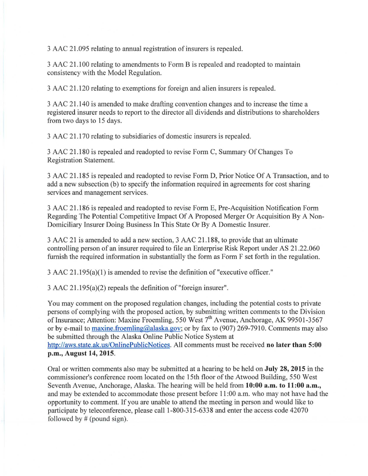3 AAC 21.095 relating to annual registration of insurers is repealed.

3 AAC 21.100 relating to amendments to Form Bis repealed and readopted to maintain consistency with the Model Regulation.

3 AAC 21.120 relating to exemptions for foreign and alien insurers is repealed.

3 AAC 21.140 is amended to make drafting convention changes and to increase the time a registered insurer needs to report to the director all dividends and distributions to shareholders from two days to 15 days.

3 AAC 21.170 relating to subsidiaries of domestic insurers is repealed.

3 AAC 21.180 is repealed and readopted to revise Form C, Summary Of Changes To Registration Statement.

3 AAC 2 1.185 is repealed and readopted to revise Form D, Prior Notice Of A Transaction, and to add a new subsection (b) to specify the information required in agreements for cost sharing services and management services.

3 AAC 2 1.186 is repealed and readopted to revise Form E, Pre-Acquisition Notification Form Regarding The Potential Competitive Impact Of A Proposed Merger Or Acquisition By A Non-Domiciliary Insurer Doing Business In This State Or By A Domestic Insurer.

3 AAC 2 1 is amended to add a new section, 3 AAC 21.188, to provide that an ultimate controlling person of an insurer required to file an Enterprise Risk Report under AS 21.22.060 furnish the required information in substantially the form as Form F set forth in the regulation.

3 AAC 21.195(a)(l) is amended to revise the definition of "executive officer."

 $3$  AAC  $21.195(a)(2)$  repeals the definition of "foreign insurer".

You may comment on the proposed regulation changes, including the potential costs to private persons of complying with the proposed action, by submitting written comments to the Division of Insurance; Attention: Maxine Froemling, 550 West  $7<sup>th</sup>$  Avenue, Anchorage, AK 99501-3567 or by e-mail to maxine.froemling@alaska.gov; or by fax to (907) 269-7910. Comments may also be submitted through the Alaska Online Public Notice System at http://aws.state.ak.us/OnlinePublicNotices. All comments must be received **no later than 5:00 p.m., August 14, 2015.** 

Oral or written comments also may be submitted at a hearing to be held on **July 28, 2015** in the commissioner's conference room located on the 15th floor of the Atwood Building, 550 West Seventh Avenue, Anchorage, Alaska. The hearing will be held from 10:00 **a.m.** to 11:00 **a.m.**, and may be extended to accommodate those present before 11 :00 a.m. who may not have had the opportunity to comment. If you are unable to attend the meeting in person and would like to participate by teleconference, please call 1-800-315-6338 and enter the access code 42070 followed by  $#$  (pound sign).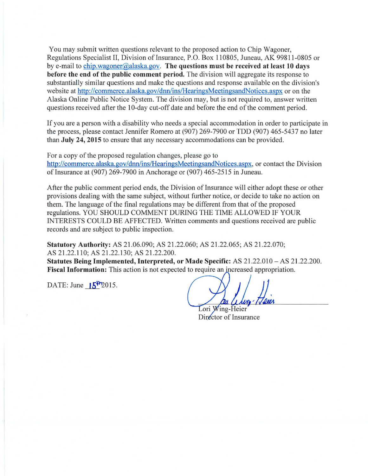You may submit written questions relevant to the proposed action to Chip Wagoner, Regulations Specialist II, Division of Insurance, P.O. Box 110805, Juneau, AK 99811-0805 or by e-mail to chip.wagoner@alaska.gov. **The questions must be received at least 10 days before the end of the public comment period.** The division will aggregate its response to substantially similar questions and make the questions and response available on the division's website at http://commerce.alaska.gov/dnn/ins/HearingsMeetingsandNotices.aspx or on the Alaska Online Public Notice System. The division may, but is not required to, answer written questions received after the 10-day cut-off date and before the end of the comment period.

If you are a person with a disability who needs a special accommodation in order to participate in the process, please contact Jennifer Romero at (907) 269-7900 or TDD (907) 465-5437 no later than **July 24, 2015** to ensure that any necessary accommodations can be provided.

For a copy of the proposed regulation changes, please go to http://commerce.alaska.gov/dnn/ins/HearingsMeetingsandNotices.aspx, or contact the Division of Insurance at (907) 269-7900 in Anchorage or (907) 465-2515 in Juneau.

After the public comment period ends, the Division of Insurance will either adopt these or other provisions dealing with the same subject, without further notice, or decide to take no action on them. The language of the final regulations may be different from that of the proposed regulations. YOU SHOULD COMMENT DURING THE TIME ALLOWED IF YOUR INTERESTS COULD BE AFFECTED. Written comments and questions received are public records and are subject to public inspection.

**Statutory Authority:** AS 21.06.090; AS 21.22.060; AS 21.22.065; AS 21.22.070; AS 21.22.110; AS 21.22.130; AS 21.22.200.

**Statutes Being Implemented, Interpreted, or Made Specific:** AS 21.22.010 - AS 21.22.200. **Fiscal Information:** This action is not expected to require an increased appropriation.

DATE: June  $15^{12}$  2015.

Lori Wing-Heier Director of Insurance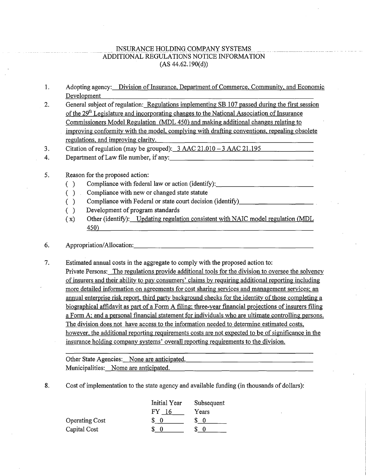#### INSURANCE HOLDING COMPANY SYSTEMS ADDITIONAL REGULATIONS NOTICE INFORMATION (AS 44.62.190(d))

- 1. Adopting agency: Division of Insurance, Department of Commerce, Community, and Economic Development
- 2. General subject of regulation: Regulations implementing SB 107 passed during the first session of the  $29<sup>th</sup>$  Legislature and incorporating changes to the National Association of Insurance Commissioners Model Regulation (MDL 450) and making additional changes relating to improving conformity with the model, complying with drafting conventions, repealing obsolete regulations, and improving clarity.

3. Citation ofregulation (may be grouped): 3 AAC 21.010 -3 AAC 21.195

4. Department of Law file number, if any: \_\_\_\_\_\_\_\_\_\_\_\_\_\_\_\_\_\_ \_

### 5. Reason for the proposed action:

- () Compliance with federal law or action (identify):  $\frac{1}{\frac{1}{2} \cdot \frac{1}{2} \cdot \frac{1}{2} \cdot \frac{1}{2} \cdot \frac{1}{2} \cdot \frac{1}{2} \cdot \frac{1}{2} \cdot \frac{1}{2} \cdot \frac{1}{2} \cdot \frac{1}{2} \cdot \frac{1}{2} \cdot \frac{1}{2} \cdot \frac{1}{2} \cdot \frac{1}{2} \cdot \frac{1}{2} \cdot \frac{1}{2} \cdot \frac{1}{2} \cdot \frac{1}{2} \cdot$
- ( ) Compliance with new or changed state statute
- () Compliance with Federal or state court decision (identify)  $\Box$
- ( ) Development of program standards
- ( x) Other (identify): Updating regulation consistent with NAIC model regulation (MDL 450

## 6. Appropriation/Allocation: \_\_\_\_\_\_\_\_\_\_\_\_\_\_\_\_\_\_\_\_\_\_\_ \_

7. Estimated annual costs in the aggregate to comply with the proposed action to: Private Persons: The regulations provide additional tools for the division to oversee the solvency of insurers and their ability to pay consumers' claims by requiring additional reporting including more detailed information on agreements for cost sharing services and management services; an annual enterprise risk report, third party background checks for the identity of those completing a. biographical affidavit as part of a Form A filing; three-year financial projections of insurers filing a Form A; and a personal financial statement for individuals who are ultimate controlling persons. The division does not have access to the information needed to determine estimated costs, however, the additional reporting requirements costs are not expected to be of significance in the insurance holding company systems' overall reporting requirements to the division.

Other State Agencies: None are anticipated. Municipalities: Nome are anticipated.

8. Cost of implementation to the state agency and available funding (in thousands of dollars):

|                       | <b>Initial Year</b> | Subsequent |
|-----------------------|---------------------|------------|
|                       | FY.<br>16           | Years      |
| <b>Operating Cost</b> |                     |            |
| Capital Cost          |                     |            |